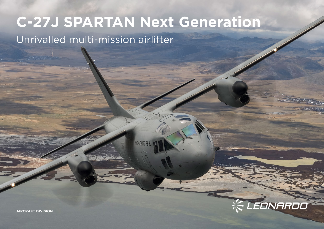## **C-27J SPARTAN Next Generation**

NEW ARANTL PERÚ

Unrivalled multi-mission airlifter

EONARDO

**AIRCRAFT DIVISION**